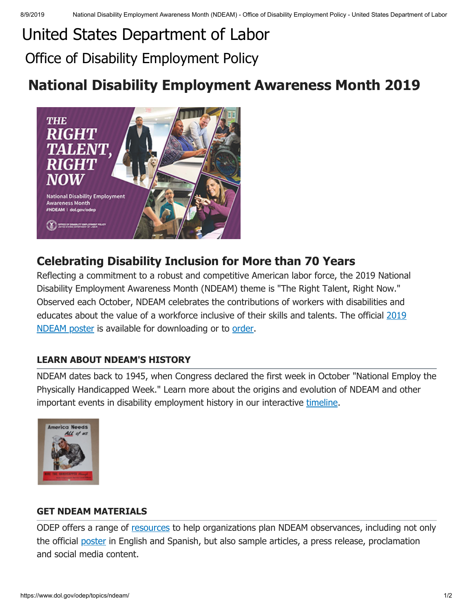# United [States Department](https://www.dol.gov/) of Labor Office of Disability Employment Policy

# **National Disability Employment Awareness Month 2019**



# **Celebrating Disability Inclusion for More than 70 Years**

Reflecting a commitment to a robust and competitive American labor force, the 2019 National Disability Employment Awareness Month (NDEAM) theme is "The Right Talent, Right Now." Observed each October, NDEAM celebrates the contributions of workers with disabilities and [educates about the value of a workforce inclusive of their skills and talents. The official](https://www.dol.gov/odep/topics/ndeam/2019english.htm) 2019 NDEAM poster is available for downloading or to [order](https://orders.gpo.gov/odep.aspx).

## **LEARN ABOUT NDEAM'S HISTORY**

NDEAM dates back to 1945, when Congress declared the first week in October "National Employ the Physically Handicapped Week." Learn more about the origins and evolution of NDEAM and other important events in disability employment history in our interactive [timeline](https://www.dol.gov/featured/ada/timeline/alternative).



### **GET NDEAM MATERIALS**

ODEP offers a range of [resources](https://www.dol.gov/odep/topics/ndeam/resources.htm) to help organizations plan NDEAM observances, including not only the official [poster](https://www.dol.gov/odep/topics/ndeam/2019English.htm) in English and Spanish, but also sample articles, a press release, proclamation and social media content.